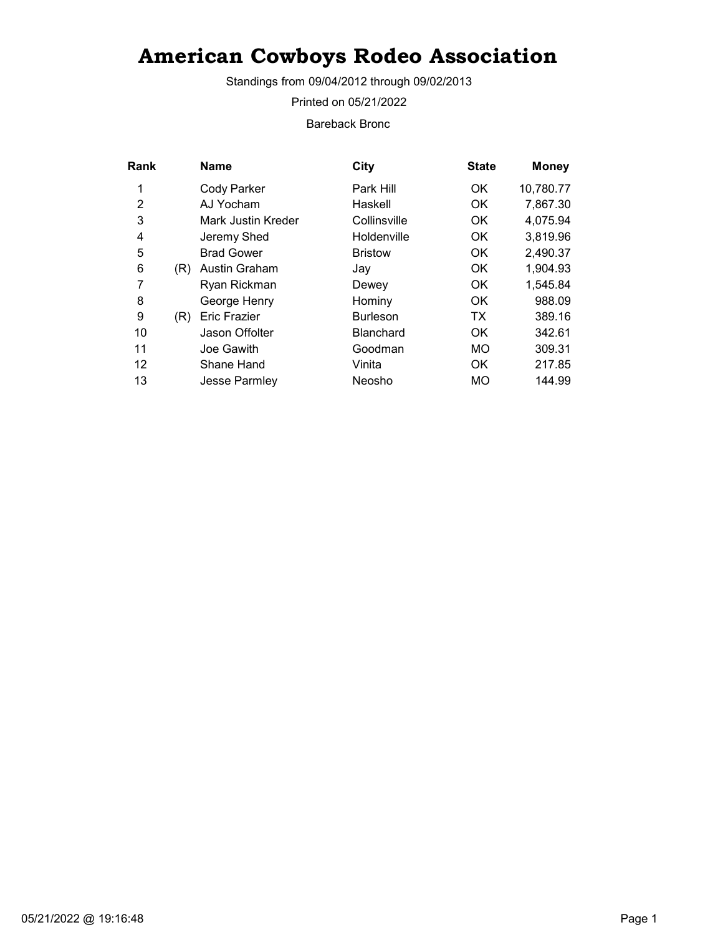Standings from 09/04/2012 through 09/02/2013

Printed on 05/21/2022

Bareback Bronc

| Rank |     | <b>Name</b>         | City             | <b>State</b> | <b>Money</b> |
|------|-----|---------------------|------------------|--------------|--------------|
| 1    |     | <b>Cody Parker</b>  | Park Hill        | OK.          | 10,780.77    |
| 2    |     | AJ Yocham           | Haskell          | OK           | 7,867.30     |
| 3    |     | Mark Justin Kreder  | Collinsville     | <b>OK</b>    | 4,075.94     |
| 4    |     | Jeremy Shed         | Holdenville      | <b>OK</b>    | 3,819.96     |
| 5    |     | <b>Brad Gower</b>   | <b>Bristow</b>   | OK.          | 2,490.37     |
| 6    | (R) | Austin Graham       | Jay              | OK.          | 1,904.93     |
| 7    |     | Ryan Rickman        | Dewey            | OK.          | 1,545.84     |
| 8    |     | George Henry        | Hominy           | <b>OK</b>    | 988.09       |
| 9    | (R) | <b>Eric Frazier</b> | <b>Burleson</b>  | TX           | 389.16       |
| 10   |     | Jason Offolter      | <b>Blanchard</b> | <b>OK</b>    | 342.61       |
| 11   |     | Joe Gawith          | Goodman          | MO           | 309.31       |
| 12   |     | Shane Hand          | Vinita           | OK.          | 217.85       |
| 13   |     | Jesse Parmley       | Neosho           | MO           | 144.99       |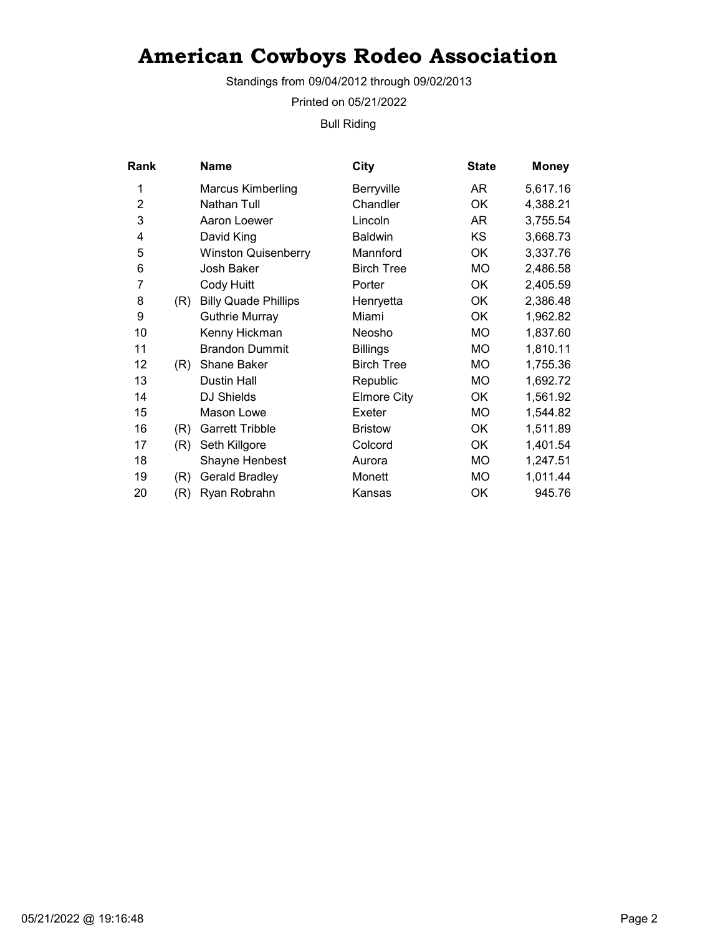Standings from 09/04/2012 through 09/02/2013

Printed on 05/21/2022

Bull Riding

| Rank           |     | Name                        | City               | <b>State</b> | <b>Money</b> |
|----------------|-----|-----------------------------|--------------------|--------------|--------------|
| 1              |     | Marcus Kimberling           | Berryville         | AR           | 5,617.16     |
| $\overline{2}$ |     | <b>Nathan Tull</b>          | Chandler           | OK           | 4,388.21     |
| 3              |     | Aaron Loewer                | Lincoln            | AR           | 3,755.54     |
| 4              |     | David King                  | <b>Baldwin</b>     | KS           | 3,668.73     |
| 5              |     | <b>Winston Quisenberry</b>  | Mannford           | OK           | 3,337.76     |
| 6              |     | Josh Baker                  | <b>Birch Tree</b>  | <b>MO</b>    | 2,486.58     |
| 7              |     | Cody Huitt                  | Porter             | OK           | 2,405.59     |
| 8              | (R) | <b>Billy Quade Phillips</b> | Henryetta          | OK           | 2,386.48     |
| 9              |     | <b>Guthrie Murray</b>       | Miami              | OK           | 1,962.82     |
| 10             |     | Kenny Hickman               | Neosho             | MO.          | 1,837.60     |
| 11             |     | <b>Brandon Dummit</b>       | <b>Billings</b>    | <b>MO</b>    | 1,810.11     |
| 12             | (R) | <b>Shane Baker</b>          | <b>Birch Tree</b>  | MO.          | 1,755.36     |
| 13             |     | Dustin Hall                 | Republic           | МO           | 1,692.72     |
| 14             |     | DJ Shields                  | <b>Elmore City</b> | OK           | 1,561.92     |
| 15             |     | Mason Lowe                  | Exeter             | <b>MO</b>    | 1,544.82     |
| 16             | (R) | <b>Garrett Tribble</b>      | <b>Bristow</b>     | OK           | 1,511.89     |
| 17             | (R) | Seth Killgore               | Colcord            | OK           | 1,401.54     |
| 18             |     | Shayne Henbest              | Aurora             | MO.          | 1,247.51     |
| 19             | (R) | Gerald Bradley              | Monett             | MO           | 1,011.44     |
| 20             | (R) | Ryan Robrahn                | Kansas             | OK           | 945.76       |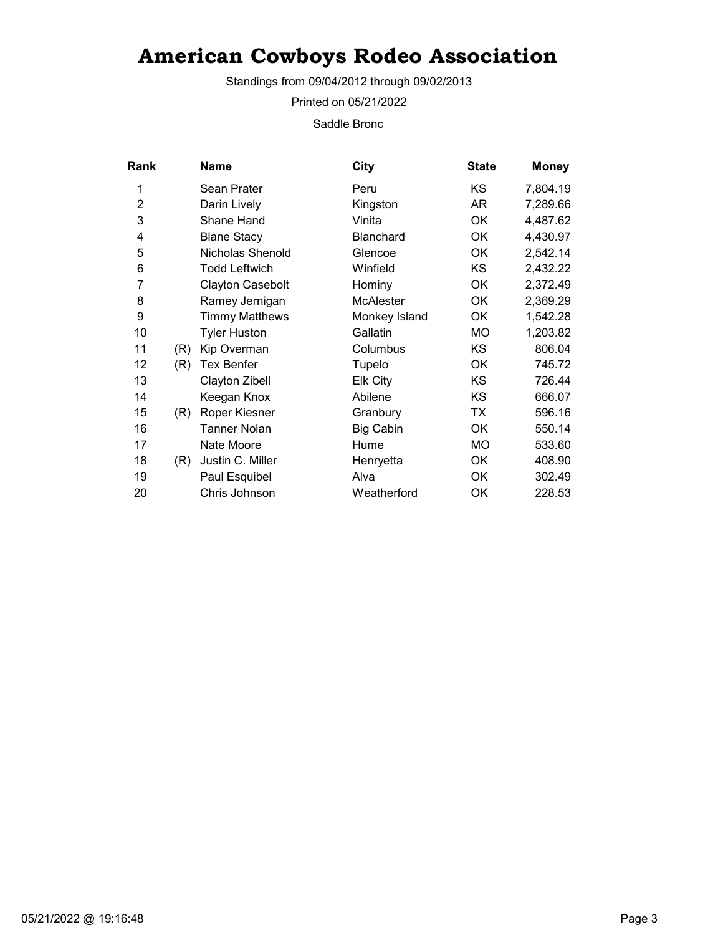Standings from 09/04/2012 through 09/02/2013

Printed on 05/21/2022

Saddle Bronc

| Rank           |     | <b>Name</b>             | <b>City</b>      | <b>State</b> | <b>Money</b> |
|----------------|-----|-------------------------|------------------|--------------|--------------|
| 1              |     | Sean Prater             | Peru             | KS           | 7,804.19     |
| $\overline{2}$ |     | Darin Lively            | Kingston         | AR           | 7,289.66     |
| 3              |     | Shane Hand              | Vinita           | OK           | 4,487.62     |
| 4              |     | <b>Blane Stacy</b>      | <b>Blanchard</b> | OK           | 4,430.97     |
| 5              |     | Nicholas Shenold        | Glencoe          | OK           | 2,542.14     |
| 6              |     | <b>Todd Leftwich</b>    | Winfield         | <b>KS</b>    | 2,432.22     |
| 7              |     | <b>Clayton Casebolt</b> | Hominy           | 0K           | 2,372.49     |
| 8              |     | Ramey Jernigan          | <b>McAlester</b> | OK           | 2,369.29     |
| 9              |     | Timmy Matthews          | Monkey Island    | OK           | 1,542.28     |
| 10             |     | <b>Tyler Huston</b>     | Gallatin         | <b>MO</b>    | 1,203.82     |
| 11             | (R) | Kip Overman             | Columbus         | <b>KS</b>    | 806.04       |
| 12             | (R) | <b>Tex Benfer</b>       | Tupelo           | OK           | 745.72       |
| 13             |     | Clayton Zibell          | Elk City         | KS           | 726.44       |
| 14             |     | Keegan Knox             | Abilene          | KS           | 666.07       |
| 15             | (R) | Roper Kiesner           | Granbury         | TX           | 596.16       |
| 16             |     | <b>Tanner Nolan</b>     | <b>Big Cabin</b> | OK           | 550.14       |
| 17             |     | Nate Moore              | Hume             | MO           | 533.60       |
| 18             | (R) | Justin C. Miller        | Henryetta        | OK           | 408.90       |
| 19             |     | Paul Esquibel           | Alva             | OK           | 302.49       |
| 20             |     | Chris Johnson           | Weatherford      | OK           | 228.53       |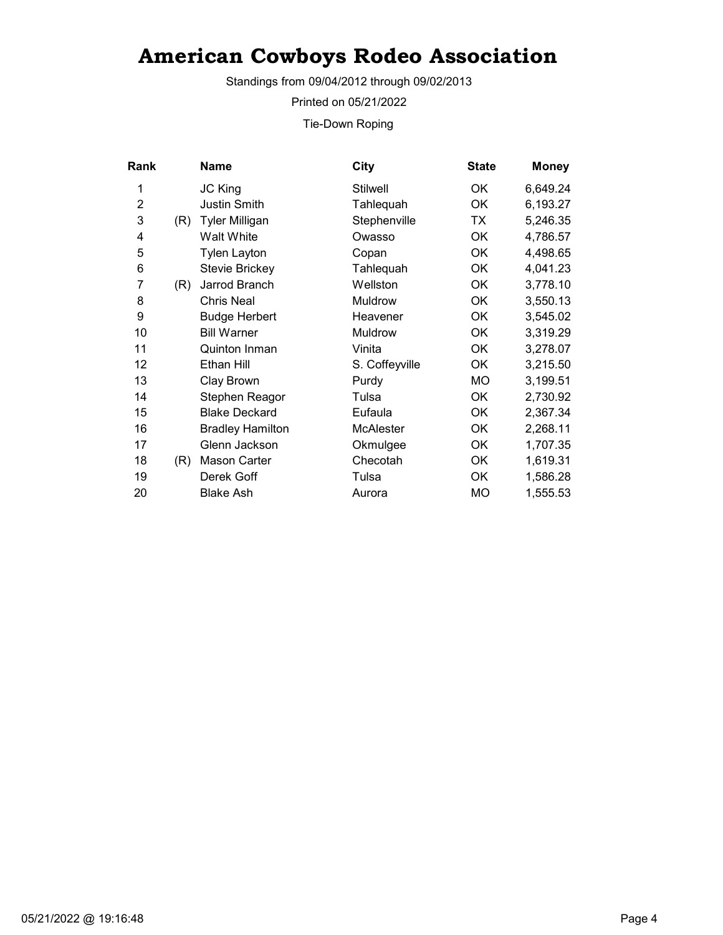Standings from 09/04/2012 through 09/02/2013

Printed on 05/21/2022

Tie-Down Roping

| Rank           |     | Name                    | City             | <b>State</b> | <b>Money</b> |
|----------------|-----|-------------------------|------------------|--------------|--------------|
| 1              |     | JC King                 | <b>Stilwell</b>  | OK           | 6,649.24     |
| $\overline{2}$ |     | <b>Justin Smith</b>     | Tahlequah        | OK           | 6,193.27     |
| 3              | (R) | <b>Tyler Milligan</b>   | Stephenville     | ТX           | 5,246.35     |
| 4              |     | Walt White              | Owasso           | OK           | 4,786.57     |
| 5              |     | <b>Tylen Layton</b>     | Copan            | OK           | 4,498.65     |
| 6              |     | <b>Stevie Brickey</b>   | Tahlequah        | <b>OK</b>    | 4,041.23     |
| 7              | (R) | Jarrod Branch           | Wellston         | OK           | 3,778.10     |
| 8              |     | <b>Chris Neal</b>       | Muldrow          | <b>OK</b>    | 3,550.13     |
| 9              |     | <b>Budge Herbert</b>    | Heavener         | 0K           | 3,545.02     |
| 10             |     | <b>Bill Warner</b>      | Muldrow          | ОK           | 3,319.29     |
| 11             |     | Quinton Inman           | Vinita           | OK           | 3,278.07     |
| 12             |     | Ethan Hill              | S. Coffeyville   | OK           | 3,215.50     |
| 13             |     | Clay Brown              | Purdy            | MO           | 3,199.51     |
| 14             |     | Stephen Reagor          | Tulsa            | OK           | 2,730.92     |
| 15             |     | <b>Blake Deckard</b>    | Eufaula          | OK           | 2,367.34     |
| 16             |     | <b>Bradley Hamilton</b> | <b>McAlester</b> | OK           | 2,268.11     |
| 17             |     | Glenn Jackson           | Okmulgee         | <b>OK</b>    | 1,707.35     |
| 18             | (R) | Mason Carter            | Checotah         | OK           | 1,619.31     |
| 19             |     | Derek Goff              | Tulsa            | OK           | 1,586.28     |
| 20             |     | Blake Ash               | Aurora           | MO           | 1,555.53     |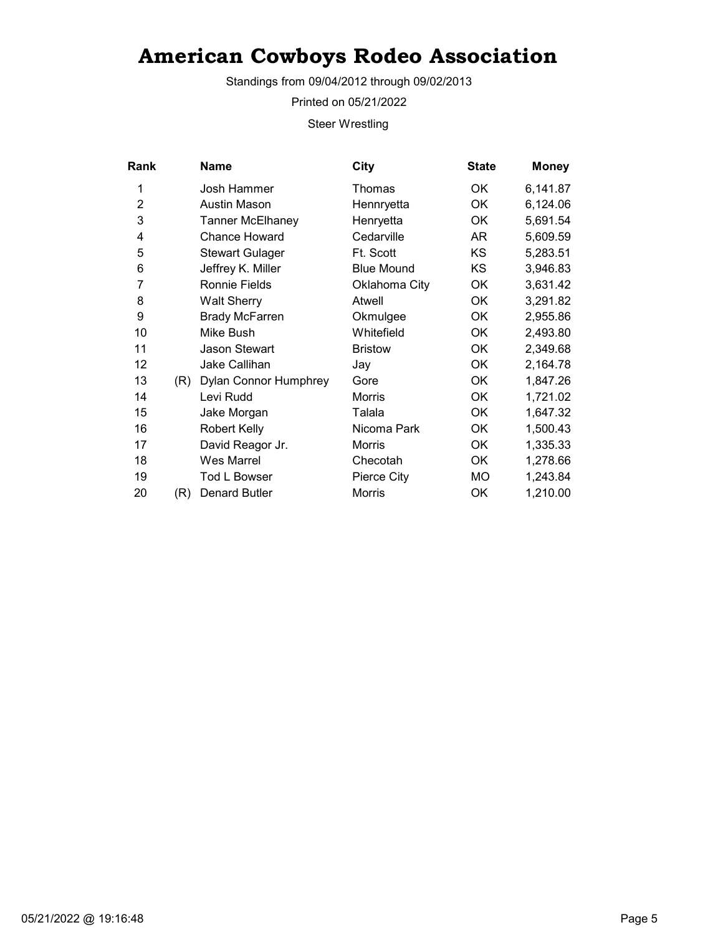Standings from 09/04/2012 through 09/02/2013

Printed on 05/21/2022

Steer Wrestling

| Rank           |     | <b>Name</b>             | City              | <b>State</b> | <b>Money</b> |
|----------------|-----|-------------------------|-------------------|--------------|--------------|
| 1              |     | Josh Hammer             | Thomas            | 0K           | 6,141.87     |
| $\overline{2}$ |     | Austin Mason            | Hennryetta        | OK           | 6,124.06     |
| 3              |     | <b>Tanner McElhaney</b> | Henryetta         | OK           | 5,691.54     |
| 4              |     | <b>Chance Howard</b>    | Cedarville        | AR           | 5,609.59     |
| 5              |     | <b>Stewart Gulager</b>  | Ft. Scott         | <b>KS</b>    | 5,283.51     |
| 6              |     | Jeffrey K. Miller       | <b>Blue Mound</b> | <b>KS</b>    | 3,946.83     |
| 7              |     | <b>Ronnie Fields</b>    | Oklahoma City     | OK           | 3,631.42     |
| 8              |     | <b>Walt Sherry</b>      | Atwell            | OK           | 3,291.82     |
| 9              |     | <b>Brady McFarren</b>   | Okmulgee          | ОK           | 2,955.86     |
| 10             |     | Mike Bush               | Whitefield        | ОK           | 2,493.80     |
| 11             |     | <b>Jason Stewart</b>    | <b>Bristow</b>    | OK           | 2,349.68     |
| 12             |     | Jake Callihan           | Jay               | OK           | 2,164.78     |
| 13             | (R) | Dylan Connor Humphrey   | Gore              | OK           | 1,847.26     |
| 14             |     | Levi Rudd               | <b>Morris</b>     | OK           | 1,721.02     |
| 15             |     | Jake Morgan             | Talala            | 0K           | 1,647.32     |
| 16             |     | <b>Robert Kelly</b>     | Nicoma Park       | ОK           | 1,500.43     |
| 17             |     | David Reagor Jr.        | <b>Morris</b>     | OK           | 1,335.33     |
| 18             |     | <b>Wes Marrel</b>       | Checotah          | OK           | 1,278.66     |
| 19             |     | <b>Tod L Bowser</b>     | Pierce City       | MO           | 1,243.84     |
| 20             | (R) | Denard Butler           | <b>Morris</b>     | OK           | 1,210.00     |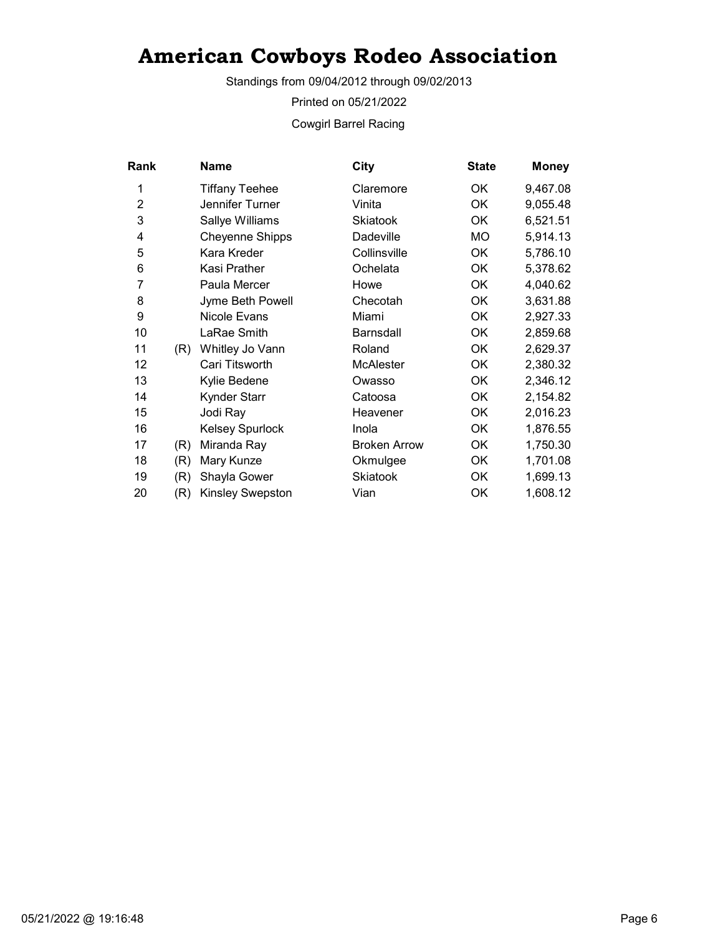Standings from 09/04/2012 through 09/02/2013

Printed on 05/21/2022

Cowgirl Barrel Racing

| Rank           |     | <b>Name</b>            | <b>City</b>         | <b>State</b> | <b>Money</b> |
|----------------|-----|------------------------|---------------------|--------------|--------------|
| 1              |     | <b>Tiffany Teehee</b>  | Claremore           | OK           | 9,467.08     |
| $\overline{2}$ |     | Jennifer Turner        | Vinita              | <b>OK</b>    | 9,055.48     |
| 3              |     | Sallye Williams        | <b>Skiatook</b>     | OK           | 6,521.51     |
| 4              |     | <b>Cheyenne Shipps</b> | Dadeville           | <b>MO</b>    | 5,914.13     |
| 5              |     | Kara Kreder            | Collinsville        | ОK           | 5,786.10     |
| 6              |     | Kasi Prather           | Ochelata            | <b>OK</b>    | 5,378.62     |
| 7              |     | Paula Mercer           | Howe                | OK           | 4,040.62     |
| 8              |     | Jyme Beth Powell       | Checotah            | OK           | 3,631.88     |
| 9              |     | Nicole Evans           | Miami               | ОK           | 2,927.33     |
| 10             |     | LaRae Smith            | <b>Barnsdall</b>    | <b>OK</b>    | 2,859.68     |
| 11             | (R) | Whitley Jo Vann        | Roland              | OK           | 2,629.37     |
| 12             |     | Cari Titsworth         | <b>McAlester</b>    | <b>OK</b>    | 2,380.32     |
| 13             |     | Kylie Bedene           | Owasso              | OK           | 2,346.12     |
| 14             |     | <b>Kynder Starr</b>    | Catoosa             | <b>OK</b>    | 2,154.82     |
| 15             |     | Jodi Ray               | Heavener            | OK           | 2,016.23     |
| 16             |     | <b>Kelsey Spurlock</b> | Inola               | OK           | 1,876.55     |
| 17             | (R) | Miranda Ray            | <b>Broken Arrow</b> | OK           | 1,750.30     |
| 18             | (R) | Mary Kunze             | Okmulgee            | ОK           | 1,701.08     |
| 19             | (R) | Shayla Gower           | Skiatook            | OK           | 1,699.13     |
| 20             | (R) | Kinsley Swepston       | Vian                | OK           | 1,608.12     |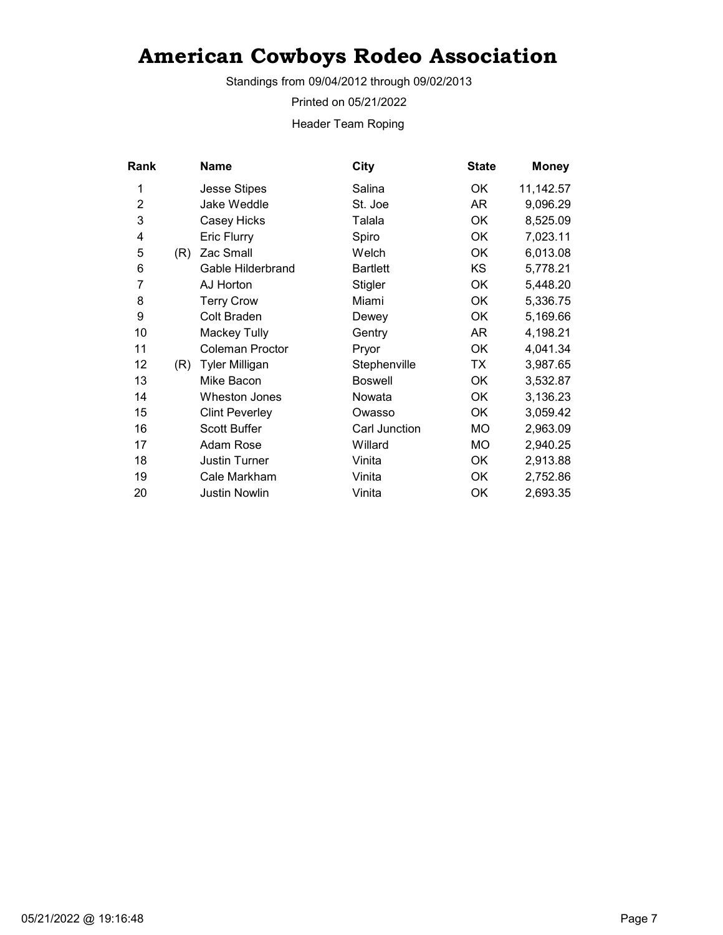Standings from 09/04/2012 through 09/02/2013

Printed on 05/21/2022

Header Team Roping

| <b>Rank</b>    |     | Name                  | City            | <b>State</b> | <b>Money</b> |
|----------------|-----|-----------------------|-----------------|--------------|--------------|
| 1              |     | <b>Jesse Stipes</b>   | Salina          | OK           | 11,142.57    |
| $\overline{2}$ |     | Jake Weddle           | St. Joe         | AR           | 9,096.29     |
| 3              |     | Casey Hicks           | Talala          | OK           | 8,525.09     |
| 4              |     | Eric Flurry           | Spiro           | ОK           | 7,023.11     |
| 5              | (R) | Zac Small             | Welch           | OK           | 6,013.08     |
| 6              |     | Gable Hilderbrand     | <b>Bartlett</b> | <b>KS</b>    | 5,778.21     |
| 7              |     | AJ Horton             | Stigler         | OK           | 5,448.20     |
| 8              |     | <b>Terry Crow</b>     | Miami           | OK           | 5,336.75     |
| 9              |     | Colt Braden           | Dewey           | OK           | 5,169.66     |
| 10             |     | <b>Mackey Tully</b>   | Gentry          | AR           | 4,198.21     |
| 11             |     | Coleman Proctor       | Pryor           | OK           | 4,041.34     |
| 12             | (R) | <b>Tyler Milligan</b> | Stephenville    | TX           | 3,987.65     |
| 13             |     | Mike Bacon            | <b>Boswell</b>  | ОK           | 3,532.87     |
| 14             |     | <b>Wheston Jones</b>  | Nowata          | OK           | 3,136.23     |
| 15             |     | <b>Clint Peverley</b> | Owasso          | ОK           | 3,059.42     |
| 16             |     | <b>Scott Buffer</b>   | Carl Junction   | МO           | 2,963.09     |
| 17             |     | Adam Rose             | Willard         | МO           | 2,940.25     |
| 18             |     | <b>Justin Turner</b>  | Vinita          | OK           | 2,913.88     |
| 19             |     | Cale Markham          | Vinita          | OK           | 2,752.86     |
| 20             |     | <b>Justin Nowlin</b>  | Vinita          | ΟK           | 2,693.35     |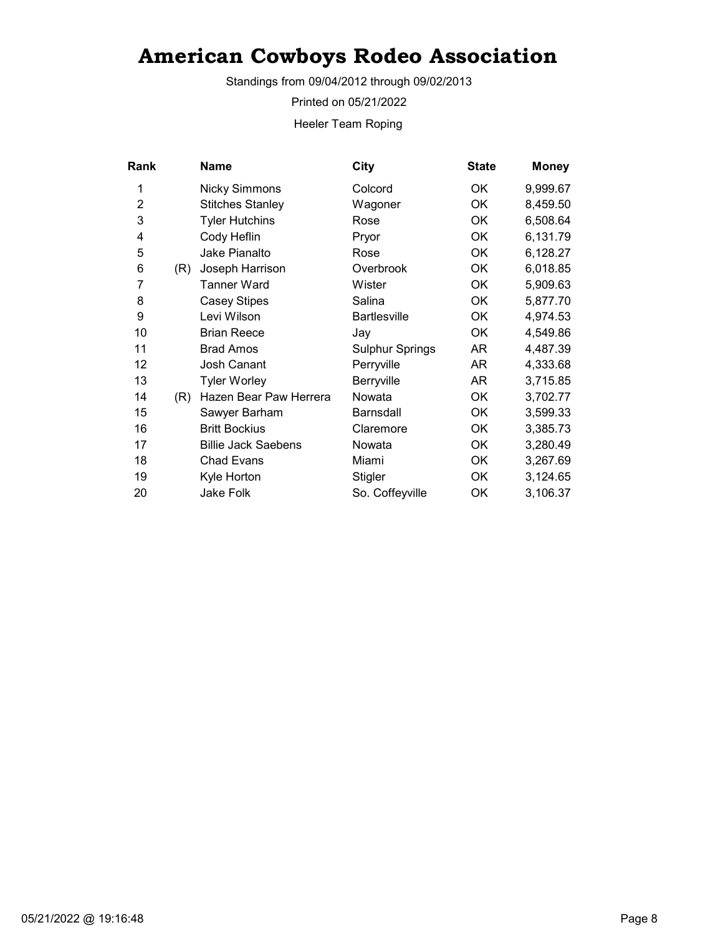Standings from 09/04/2012 through 09/02/2013

Printed on 05/21/2022

Heeler Team Roping

| Rank           |     | Name                       | City                   | <b>State</b> | <b>Money</b> |
|----------------|-----|----------------------------|------------------------|--------------|--------------|
| 1              |     | <b>Nicky Simmons</b>       | Colcord                | OK.          | 9,999.67     |
| $\overline{2}$ |     | <b>Stitches Stanley</b>    | Wagoner                | OK           | 8,459.50     |
| 3              |     | <b>Tyler Hutchins</b>      | Rose                   | OK           | 6,508.64     |
| 4              |     | Cody Heflin                | Pryor                  | OK           | 6,131.79     |
| 5              |     | Jake Pianalto              | Rose                   | OK           | 6,128.27     |
| 6              | (R) | Joseph Harrison            | Overbrook              | OK           | 6,018.85     |
| 7              |     | Tanner Ward                | Wister                 | OK           | 5,909.63     |
| 8              |     | <b>Casey Stipes</b>        | Salina                 | OK           | 5,877.70     |
| 9              |     | Levi Wilson                | <b>Bartlesville</b>    | OK           | 4,974.53     |
| 10             |     | <b>Brian Reece</b>         | Jay                    | OK           | 4,549.86     |
| 11             |     | <b>Brad Amos</b>           | <b>Sulphur Springs</b> | AR           | 4,487.39     |
| 12             |     | Josh Canant                | Perryville             | AR           | 4,333.68     |
| 13             |     | <b>Tyler Worley</b>        | Berryville             | AR           | 3,715.85     |
| 14             | (R) | Hazen Bear Paw Herrera     | Nowata                 | OK           | 3,702.77     |
| 15             |     | Sawyer Barham              | <b>Barnsdall</b>       | <b>OK</b>    | 3,599.33     |
| 16             |     | <b>Britt Bockius</b>       | Claremore              | OK           | 3,385.73     |
| 17             |     | <b>Billie Jack Saebens</b> | Nowata                 | OK           | 3,280.49     |
| 18             |     | <b>Chad Evans</b>          | Miami                  | OK           | 3,267.69     |
| 19             |     | Kyle Horton                | Stigler                | OK           | 3,124.65     |
| 20             |     | Jake Folk                  | So. Coffeyville        | OK           | 3,106.37     |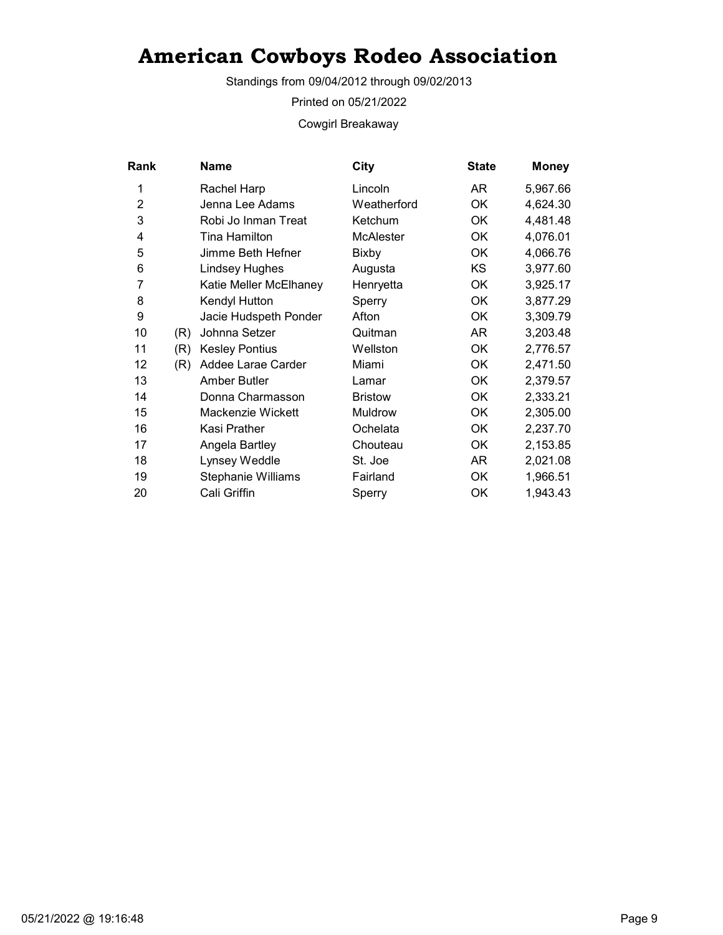Standings from 09/04/2012 through 09/02/2013

Printed on 05/21/2022

Cowgirl Breakaway

| <b>Rank</b>    |     | Name                   | City             | <b>State</b> | <b>Money</b> |
|----------------|-----|------------------------|------------------|--------------|--------------|
| 1              |     | Rachel Harp            | Lincoln          | AR.          | 5,967.66     |
| $\overline{2}$ |     | Jenna Lee Adams        | Weatherford      | OK           | 4,624.30     |
| 3              |     | Robi Jo Inman Treat    | Ketchum          | ОK           | 4,481.48     |
| 4              |     | Tina Hamilton          | <b>McAlester</b> | OK           | 4,076.01     |
| 5              |     | Jimme Beth Hefner      | Bixby            | ОK           | 4,066.76     |
| 6              |     | <b>Lindsey Hughes</b>  | Augusta          | KS.          | 3,977.60     |
| 7              |     | Katie Meller McElhaney | Henryetta        | OK           | 3,925.17     |
| 8              |     | Kendyl Hutton          | Sperry           | ОK           | 3,877.29     |
| 9              |     | Jacie Hudspeth Ponder  | Afton            | OK           | 3,309.79     |
| 10             | (R) | Johnna Setzer          | Quitman          | AR           | 3,203.48     |
| 11             | (R) | <b>Kesley Pontius</b>  | Wellston         | ОK           | 2,776.57     |
| 12             | (R) | Addee Larae Carder     | Miami            | OK           | 2,471.50     |
| 13             |     | Amber Butler           | Lamar            | OK           | 2,379.57     |
| 14             |     | Donna Charmasson       | <b>Bristow</b>   | OK           | 2,333.21     |
| 15             |     | Mackenzie Wickett      | Muldrow          | OK           | 2,305.00     |
| 16             |     | Kasi Prather           | Ochelata         | ОK           | 2,237.70     |
| 17             |     | Angela Bartley         | Chouteau         | ОK           | 2,153.85     |
| 18             |     | Lynsey Weddle          | St. Joe          | AR           | 2,021.08     |
| 19             |     | Stephanie Williams     | Fairland         | ОK           | 1,966.51     |
| 20             |     | Cali Griffin           | Sperry           | OK           | 1,943.43     |